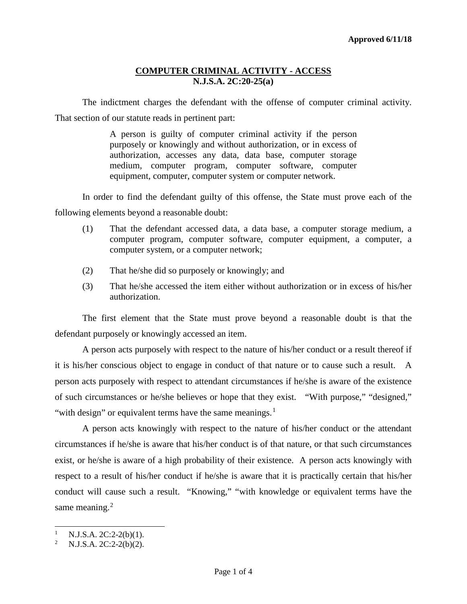The indictment charges the defendant with the offense of computer criminal activity. That section of our statute reads in pertinent part:

> A person is guilty of computer criminal activity if the person purposely or knowingly and without authorization, or in excess of authorization, accesses any data, data base, computer storage medium, computer program, computer software, computer equipment, computer, computer system or computer network.

In order to find the defendant guilty of this offense, the State must prove each of the following elements beyond a reasonable doubt:

- (1) That the defendant accessed data, a data base, a computer storage medium, a computer program, computer software, computer equipment, a computer, a computer system, or a computer network;
- (2) That he/she did so purposely or knowingly; and
- (3) That he/she accessed the item either without authorization or in excess of his/her authorization.

The first element that the State must prove beyond a reasonable doubt is that the defendant purposely or knowingly accessed an item.

A person acts purposely with respect to the nature of his/her conduct or a result thereof if it is his/her conscious object to engage in conduct of that nature or to cause such a result. A person acts purposely with respect to attendant circumstances if he/she is aware of the existence of such circumstances or he/she believes or hope that they exist. "With purpose," "designed," "with design" or equivalent terms have the same meanings. $<sup>1</sup>$  $<sup>1</sup>$  $<sup>1</sup>$ </sup>

A person acts knowingly with respect to the nature of his/her conduct or the attendant circumstances if he/she is aware that his/her conduct is of that nature, or that such circumstances exist, or he/she is aware of a high probability of their existence. A person acts knowingly with respect to a result of his/her conduct if he/she is aware that it is practically certain that his/her conduct will cause such a result. "Knowing," "with knowledge or equivalent terms have the same meaning.<sup>[2](#page-0-1)</sup>

<span id="page-0-0"></span> $\mathbf{1}$ <sup>1</sup> N.J.S.A. 2C:2-2(b)(1).<br><sup>2</sup> N.J.S.A. 2C:2-2(b)(2).

<span id="page-0-1"></span>N.J.S.A. 2C:2-2(b)(2).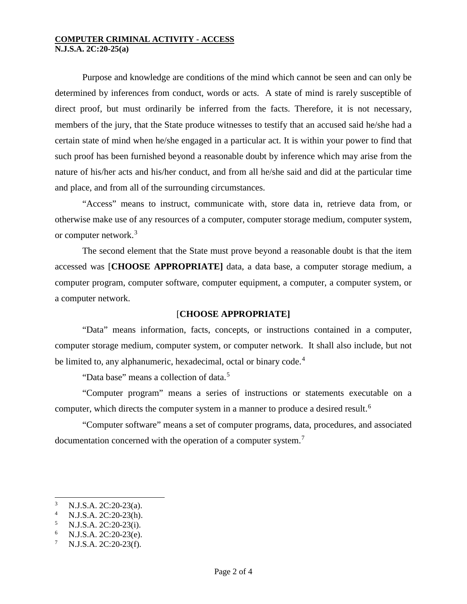Purpose and knowledge are conditions of the mind which cannot be seen and can only be determined by inferences from conduct, words or acts. A state of mind is rarely susceptible of direct proof, but must ordinarily be inferred from the facts. Therefore, it is not necessary, members of the jury, that the State produce witnesses to testify that an accused said he/she had a certain state of mind when he/she engaged in a particular act. It is within your power to find that such proof has been furnished beyond a reasonable doubt by inference which may arise from the nature of his/her acts and his/her conduct, and from all he/she said and did at the particular time and place, and from all of the surrounding circumstances.

"Access" means to instruct, communicate with, store data in, retrieve data from, or otherwise make use of any resources of a computer, computer storage medium, computer system, or computer network.<sup>[3](#page-1-0)</sup>

The second element that the State must prove beyond a reasonable doubt is that the item accessed was [**CHOOSE APPROPRIATE]** data, a data base, a computer storage medium, a computer program, computer software, computer equipment, a computer, a computer system, or a computer network.

# [**CHOOSE APPROPRIATE]**

"Data" means information, facts, concepts, or instructions contained in a computer, computer storage medium, computer system, or computer network. It shall also include, but not be limited to, any alphanumeric, hexadecimal, octal or binary code.<sup>[4](#page-1-1)</sup>

"Data base" means a collection of data.<sup>[5](#page-1-2)</sup>

"Computer program" means a series of instructions or statements executable on a computer, which directs the computer system in a manner to produce a desired result.<sup>[6](#page-1-3)</sup>

"Computer software" means a set of computer programs, data, procedures, and associated documentation concerned with the operation of a computer system.<sup>[7](#page-1-4)</sup>

l

<span id="page-1-1"></span><span id="page-1-0"></span><sup>3</sup> N.J.S.A. 2C:20-23(a).<br>
4 N.J.S.A. 2C:20-23(h).<br>
5 N.J.S.A. 2C:20-23(i).<br>
6 N.J.S.A. 2C:20-23(e).<br>
7 N.J.S.A. 2C:20-23(f).

<span id="page-1-2"></span>

<span id="page-1-3"></span>

<span id="page-1-4"></span>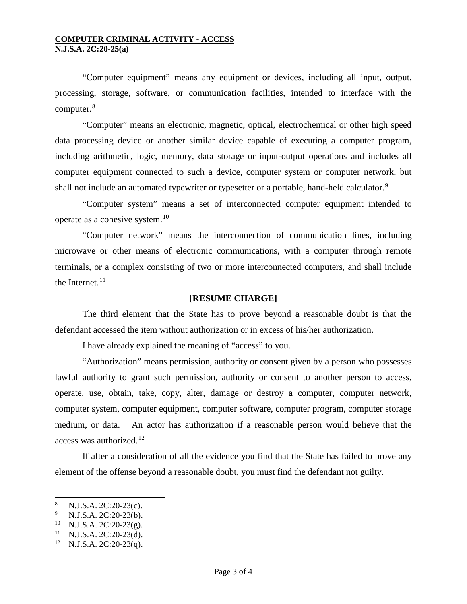"Computer equipment" means any equipment or devices, including all input, output, processing, storage, software, or communication facilities, intended to interface with the computer.<sup>[8](#page-2-0)</sup>

"Computer" means an electronic, magnetic, optical, electrochemical or other high speed data processing device or another similar device capable of executing a computer program, including arithmetic, logic, memory, data storage or input-output operations and includes all computer equipment connected to such a device, computer system or computer network, but shall not include an automated typewriter or typesetter or a portable, hand-held calculator.<sup>[9](#page-2-1)</sup>

"Computer system" means a set of interconnected computer equipment intended to operate as a cohesive system.[10](#page-2-2)

"Computer network" means the interconnection of communication lines, including microwave or other means of electronic communications, with a computer through remote terminals, or a complex consisting of two or more interconnected computers, and shall include the Internet. $11$ 

## [**RESUME CHARGE]**

The third element that the State has to prove beyond a reasonable doubt is that the defendant accessed the item without authorization or in excess of his/her authorization.

I have already explained the meaning of "access" to you.

"Authorization" means permission, authority or consent given by a person who possesses lawful authority to grant such permission, authority or consent to another person to access, operate, use, obtain, take, copy, alter, damage or destroy a computer, computer network, computer system, computer equipment, computer software, computer program, computer storage medium, or data. An actor has authorization if a reasonable person would believe that the access was authorized. $12$ 

If after a consideration of all the evidence you find that the State has failed to prove any element of the offense beyond a reasonable doubt, you must find the defendant not guilty.

l

<span id="page-2-1"></span><span id="page-2-0"></span><sup>&</sup>lt;sup>8</sup> N.J.S.A. 2C:20-23(c).<br><sup>9</sup> N.J.S.A. 2C:20-23(b).<br><sup>10</sup> N.J.S.A. 2C:20-23(g).<br><sup>11</sup> N.J.S.A. 2C:20-23(q).<br><sup>12</sup> N.J.S.A. 2C:20-23(q).

<span id="page-2-2"></span>

<span id="page-2-3"></span>

<span id="page-2-4"></span>